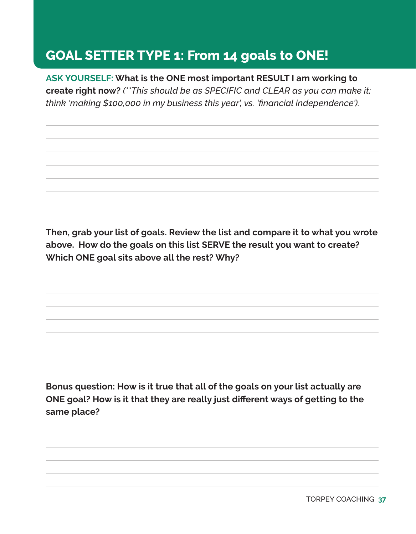## **GOAL SETTER TYPE 1: From 14 goals to ONE!**

**ASK YOURSELF: What is the ONE most important RESULT I am working to create right now?** *(\*\*This should be as SPECIFIC and CLEAR as you can make it; think 'making \$100,000 in my business this year', vs. 'financial independence').* 

**Then, grab your list of goals. Review the list and compare it to what you wrote above. How do the goals on this list SERVE the result you want to create? Which ONE goal sits above all the rest? Why?**

**Bonus question: How is it true that all of the goals on your list actually are ONE goal? How is it that they are really just different ways of getting to the same place?** 

**37** TORPEY COACHING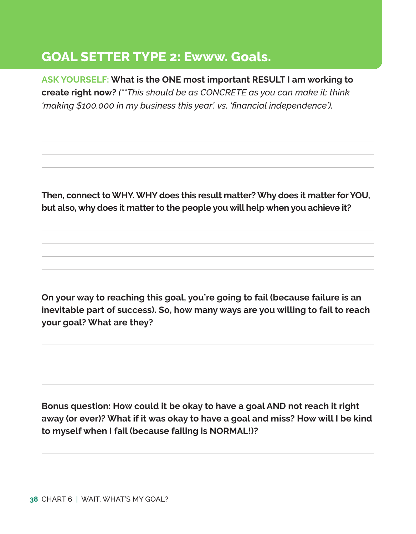## **GOAL SETTER TYPE 2: Ewww. Goals.**

**ASK YOURSELF: What is the ONE most important RESULT I am working to create right now?** *(\*\*This should be as CONCRETE as you can make it; think 'making \$100,000 in my business this year', vs. 'financial independence').* 

**Then, connect to WHY. WHY does this result matter? Why does it matter for YOU, but also, why does it matter to the people you will help when you achieve it?**

**On your way to reaching this goal, you're going to fail (because failure is an inevitable part of success). So, how many ways are you willing to fail to reach your goal? What are they?** 

**Bonus question: How could it be okay to have a goal AND not reach it right away (or ever)? What if it was okay to have a goal and miss? How will I be kind to myself when I fail (because failing is NORMAL!)?**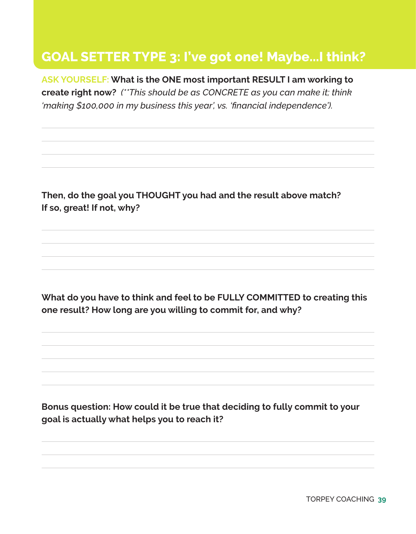## **GOAL SETTER TYPE 3: I've got one! Maybe...I think?**

**ASK YOURSELF: What is the ONE most important RESULT I am working to create right now?** *(\*\*This should be as CONCRETE as you can make it; think 'making \$100,000 in my business this year', vs. 'financial independence').* 

**Then, do the goal you THOUGHT you had and the result above match? If so, great! If not, why?**

**What do you have to think and feel to be FULLY COMMITTED to creating this one result? How long are you willing to commit for, and why?** 

**Bonus question: How could it be true that deciding to fully commit to your goal is actually what helps you to reach it?**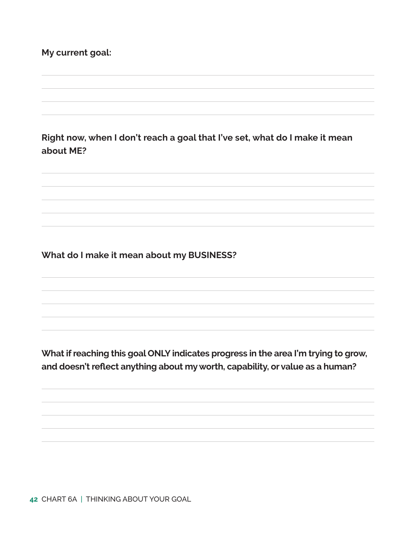## **My current goal:**

**Right now, when I don't reach a goal that I've set, what do I make it mean about ME?** 

**What do I make it mean about my BUSINESS?**

**What if reaching this goal ONLY indicates progress in the area I'm trying to grow, and doesn't reflect anything about my worth, capability, or value as a human?**

**42** CHART 6A | THINKING ABOUT YOUR GOAL